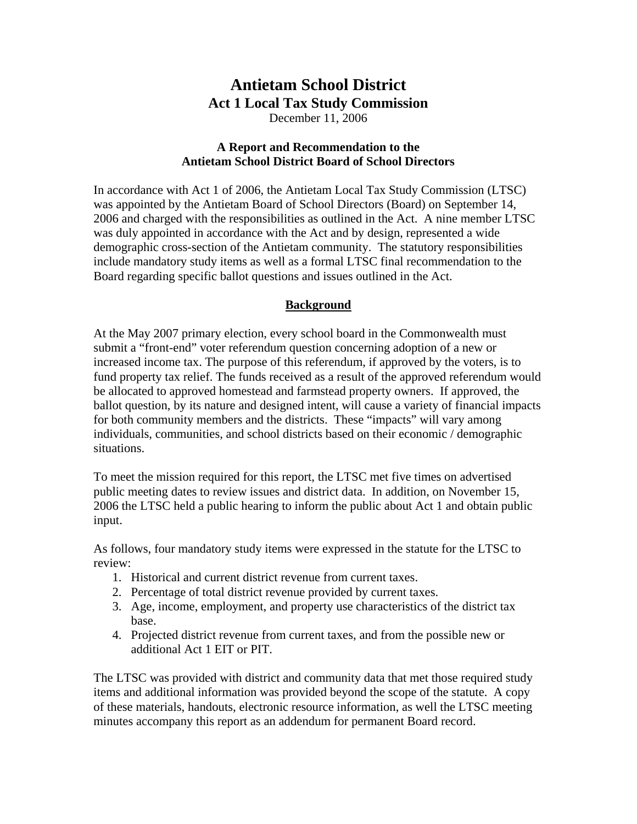# **Antietam School District Act 1 Local Tax Study Commission**

December 11, 2006

## **A Report and Recommendation to the Antietam School District Board of School Directors**

In accordance with Act 1 of 2006, the Antietam Local Tax Study Commission (LTSC) was appointed by the Antietam Board of School Directors (Board) on September 14, 2006 and charged with the responsibilities as outlined in the Act. A nine member LTSC was duly appointed in accordance with the Act and by design, represented a wide demographic cross-section of the Antietam community. The statutory responsibilities include mandatory study items as well as a formal LTSC final recommendation to the Board regarding specific ballot questions and issues outlined in the Act.

# **Background**

At the May 2007 primary election, every school board in the Commonwealth must submit a "front-end" voter referendum question concerning adoption of a new or increased income tax. The purpose of this referendum, if approved by the voters, is to fund property tax relief. The funds received as a result of the approved referendum would be allocated to approved homestead and farmstead property owners. If approved, the ballot question, by its nature and designed intent, will cause a variety of financial impacts for both community members and the districts. These "impacts" will vary among individuals, communities, and school districts based on their economic / demographic situations.

To meet the mission required for this report, the LTSC met five times on advertised public meeting dates to review issues and district data. In addition, on November 15, 2006 the LTSC held a public hearing to inform the public about Act 1 and obtain public input.

As follows, four mandatory study items were expressed in the statute for the LTSC to review:

- 1. Historical and current district revenue from current taxes.
- 2. Percentage of total district revenue provided by current taxes.
- 3. Age, income, employment, and property use characteristics of the district tax base.
- 4. Projected district revenue from current taxes, and from the possible new or additional Act 1 EIT or PIT.

The LTSC was provided with district and community data that met those required study items and additional information was provided beyond the scope of the statute. A copy of these materials, handouts, electronic resource information, as well the LTSC meeting minutes accompany this report as an addendum for permanent Board record.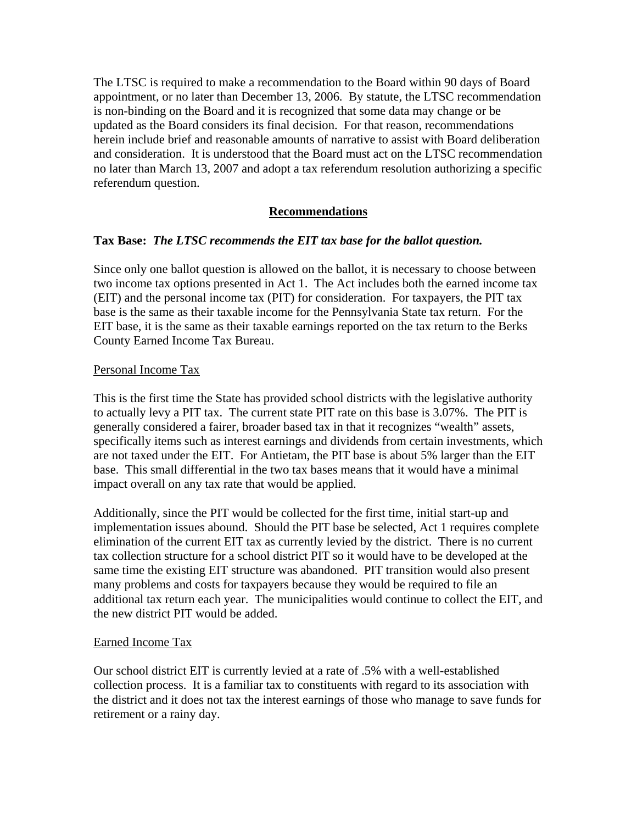The LTSC is required to make a recommendation to the Board within 90 days of Board appointment, or no later than December 13, 2006. By statute, the LTSC recommendation is non-binding on the Board and it is recognized that some data may change or be updated as the Board considers its final decision. For that reason, recommendations herein include brief and reasonable amounts of narrative to assist with Board deliberation and consideration. It is understood that the Board must act on the LTSC recommendation no later than March 13, 2007 and adopt a tax referendum resolution authorizing a specific referendum question.

# **Recommendations**

## **Tax Base:** *The LTSC recommends the EIT tax base for the ballot question.*

Since only one ballot question is allowed on the ballot, it is necessary to choose between two income tax options presented in Act 1. The Act includes both the earned income tax (EIT) and the personal income tax (PIT) for consideration. For taxpayers, the PIT tax base is the same as their taxable income for the Pennsylvania State tax return. For the EIT base, it is the same as their taxable earnings reported on the tax return to the Berks County Earned Income Tax Bureau.

#### Personal Income Tax

This is the first time the State has provided school districts with the legislative authority to actually levy a PIT tax. The current state PIT rate on this base is 3.07%. The PIT is generally considered a fairer, broader based tax in that it recognizes "wealth" assets, specifically items such as interest earnings and dividends from certain investments, which are not taxed under the EIT. For Antietam, the PIT base is about 5% larger than the EIT base. This small differential in the two tax bases means that it would have a minimal impact overall on any tax rate that would be applied.

Additionally, since the PIT would be collected for the first time, initial start-up and implementation issues abound. Should the PIT base be selected, Act 1 requires complete elimination of the current EIT tax as currently levied by the district. There is no current tax collection structure for a school district PIT so it would have to be developed at the same time the existing EIT structure was abandoned. PIT transition would also present many problems and costs for taxpayers because they would be required to file an additional tax return each year. The municipalities would continue to collect the EIT, and the new district PIT would be added.

#### Earned Income Tax

Our school district EIT is currently levied at a rate of .5% with a well-established collection process. It is a familiar tax to constituents with regard to its association with the district and it does not tax the interest earnings of those who manage to save funds for retirement or a rainy day.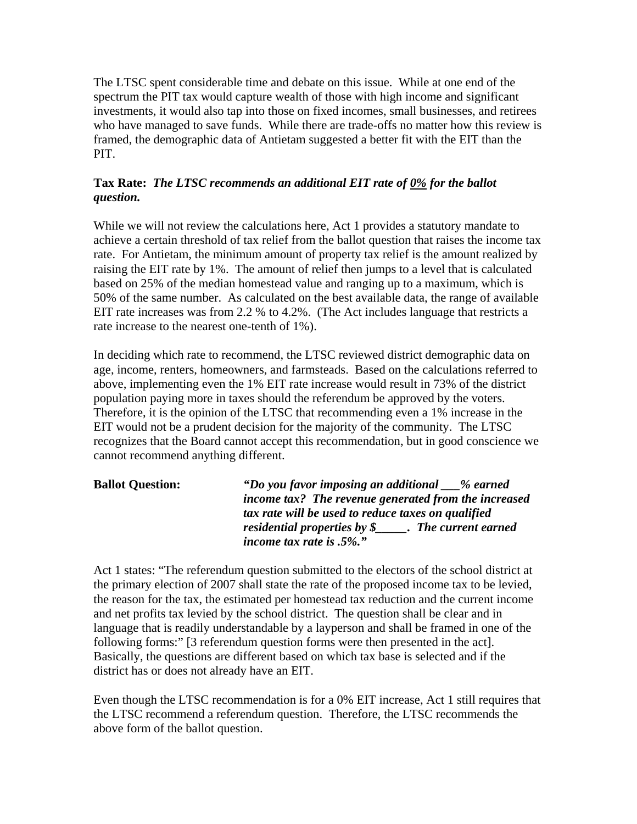The LTSC spent considerable time and debate on this issue. While at one end of the spectrum the PIT tax would capture wealth of those with high income and significant investments, it would also tap into those on fixed incomes, small businesses, and retirees who have managed to save funds. While there are trade-offs no matter how this review is framed, the demographic data of Antietam suggested a better fit with the EIT than the PIT.

# **Tax Rate:** *The LTSC recommends an additional EIT rate of 0% for the ballot question.*

While we will not review the calculations here, Act 1 provides a statutory mandate to achieve a certain threshold of tax relief from the ballot question that raises the income tax rate. For Antietam, the minimum amount of property tax relief is the amount realized by raising the EIT rate by 1%. The amount of relief then jumps to a level that is calculated based on 25% of the median homestead value and ranging up to a maximum, which is 50% of the same number. As calculated on the best available data, the range of available EIT rate increases was from 2.2 % to 4.2%. (The Act includes language that restricts a rate increase to the nearest one-tenth of 1%).

In deciding which rate to recommend, the LTSC reviewed district demographic data on age, income, renters, homeowners, and farmsteads. Based on the calculations referred to above, implementing even the 1% EIT rate increase would result in 73% of the district population paying more in taxes should the referendum be approved by the voters. Therefore, it is the opinion of the LTSC that recommending even a 1% increase in the EIT would not be a prudent decision for the majority of the community. The LTSC recognizes that the Board cannot accept this recommendation, but in good conscience we cannot recommend anything different.

| <b>Ballot Question:</b> | "Do you favor imposing an additional __% earned        |
|-------------------------|--------------------------------------------------------|
|                         | income tax? The revenue generated from the increased   |
|                         | tax rate will be used to reduce taxes on qualified     |
|                         | residential properties by $\oint$ . The current earned |
|                         | income tax rate is $.5\%$ ."                           |

Act 1 states: "The referendum question submitted to the electors of the school district at the primary election of 2007 shall state the rate of the proposed income tax to be levied, the reason for the tax, the estimated per homestead tax reduction and the current income and net profits tax levied by the school district. The question shall be clear and in language that is readily understandable by a layperson and shall be framed in one of the following forms:" [3 referendum question forms were then presented in the act]. Basically, the questions are different based on which tax base is selected and if the district has or does not already have an EIT.

Even though the LTSC recommendation is for a 0% EIT increase, Act 1 still requires that the LTSC recommend a referendum question. Therefore, the LTSC recommends the above form of the ballot question.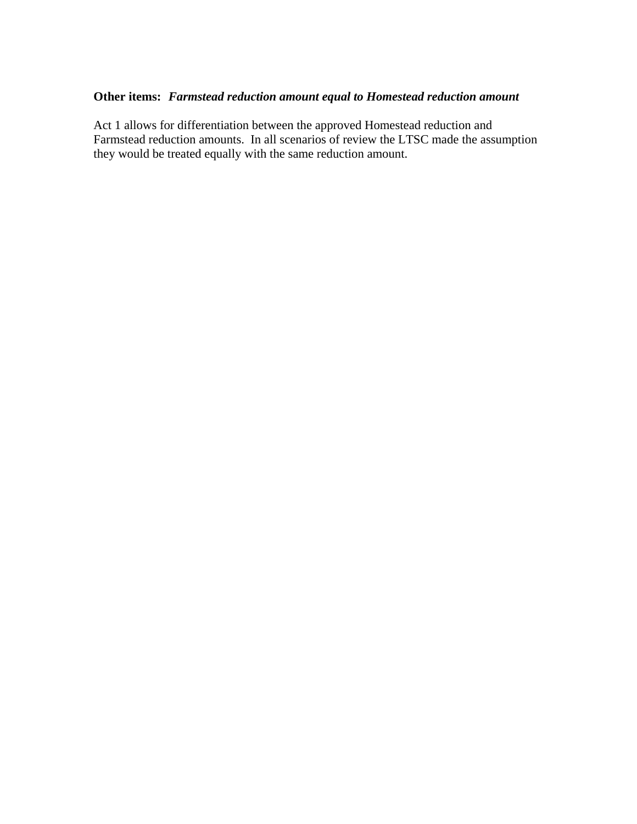# **Other items:** *Farmstead reduction amount equal to Homestead reduction amount*

Act 1 allows for differentiation between the approved Homestead reduction and Farmstead reduction amounts. In all scenarios of review the LTSC made the assumption they would be treated equally with the same reduction amount.